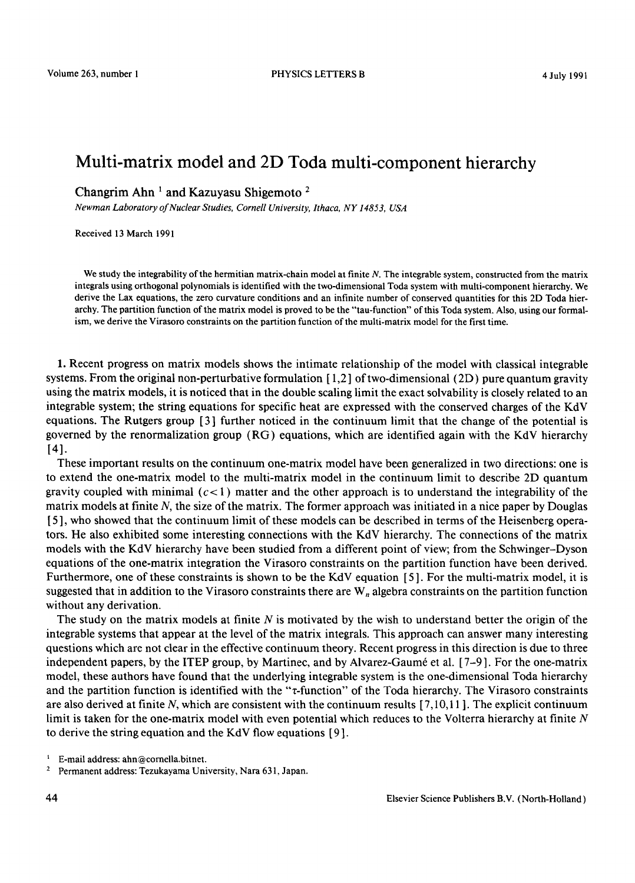# **Multi-matrix model and 2D Toda multi-component hierarchy**

Changrim Ahn **1** and Kazuyasu Shigemoto **<sup>2</sup>**

*Newman Laboratory of Nuclear Studies, Cornell University, Ithaca, NY 14853, USA* 

Received 13 March 1991

We study the integrability of the hermitian matrix-chain model at finite  $N$ . The integrable system, constructed from the matrix integrals using orthogonal polynomials is identified with the two-dimensional Toda system with multi-component hierarchy. We derive the Lax equations, the zero curvature conditions and an infinite number of conserved quantities for this 2D Toda hierarchy. The partition function of the matrix model is proved to be the "tau-function" of this Toda system. Also, using our formalism, we derive the Virasoro constraints on the partition function of the multi-matrix model for the first time.

1. Recent progress on matrix models shows the intimate relationship of the model with classical integrable systems. From the original non-perturbative formulation [ 1,2 ] of two-dimensional (2D) pure quantum gravity using the matrix models, it is noticed that in the double scaling limit the exact solvability is closely related to an integrable system; the string equations for specific heat are expressed with the conserved charges of the KdV equations. The Rutgers group [3] further noticed in the continuum limit that the change of the potential is governed by the renormalization group (RG) equations, which are identified again with the KdV hierarchy [4].

These important results on the continuum one-matrix model have been generalized in two directions: one is to extend the one-matrix model to the multi-matrix model in the continuum limit to describe 2D quantum gravity coupled with minimal  $(c<1)$  matter and the other approach is to understand the integrability of the matrix models at finite N, the size of the matrix. The former approach was initiated in a nice paper by Douglas [ 5 ], who showed that the continuum limit of these models can be described in terms of the Heisenberg operators. He also exhibited some interesting connections with the KdV hierarchy. The connections of the matrix models with the KdV hierarchy have been studied from a different point of view; from the Schwinger-Dyson equations of the one-matrix integration the Virasoro constraints on the partition function have been derived. Furthermore, one of these constraints is shown to be the KdV equation [ 5 ]. For the multi-matrix model, it is suggested that in addition to the Virasoro constraints there are  $W_n$  algebra constraints on the partition function without any derivation.

The study on the matrix models at finite  $N$  is motivated by the wish to understand better the origin of the integrable systems that appear at the level of the matrix integrals. This approach can answer many interesting questions which are not clear in the effective continuum theory. Recent progress in this direction is due to three independent papers, by the ITEP group, by Martinec, and by Alvarez-Gaumé et al.  $[7-9]$ . For the one-matrix model, these authors have found that the underlying integrable system is the one-dimensional Toda hierarchy and the partition function is identified with the "z-function" of the Toda hierarchy. The Virasoro constraints are also derived at finite N, which are consistent with the continuum results  $[7,10,11]$ . The explicit continuum limit is taken for the one-matrix model with even potential which reduces to the Volterra hierarchy at finite  $N$ to derive the string equation and the KdV flow equations [ 9 ].

<sup>&</sup>lt;sup>1</sup> E-mail address: ahn@cornella.bitnet.

<sup>2</sup> Permanent address: Tezukayama University, Nara 631, Japan.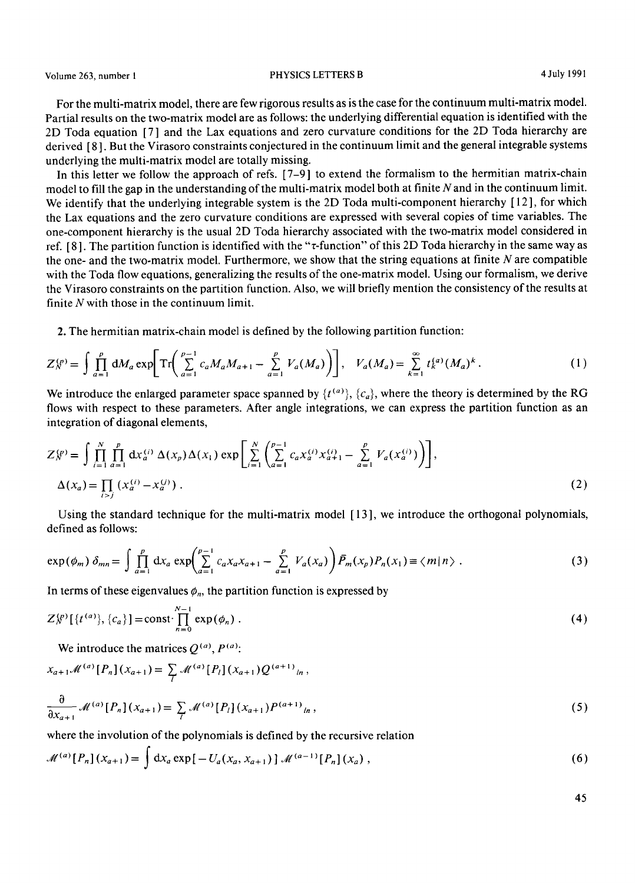For the multi-matrix model, there are few rigorous results as is the case for the continuum multi-matrix model. Partial results on the two-matrix model are as follows: the underlying differential equation is identified with the 2D Toda equation [7] and the Lax equations and zero curvature conditions for the 2D Toda hierarchy are derived [ 8 ]. But the Virasoro constraints conjectured in the continuum limit and the general integrable systems underlying the multi-matrix model are totally missing.

In this letter we follow the approach of refs. [7-9] to extend the formalism to the hermitian matrix-chain model to fill the gap in the understanding of the multi-matrix model both at finite  $N$  and in the continuum limit. We identify that the underlying integrable system is the 2D Toda multi-component hierarchy [ 12 ], for which the Lax equations and the zero curvature conditions are expressed with several copies of time variables. The one-component hierarchy is the usual 2D Toda hierarchy associated with the two-matrix model considered in ref. [ 8 ]. The partition function is identified with the "z-function" of this 2D Toda hierarchy in the same way as the one- and the two-matrix model. Furthermore, we show that the string equations at finite  $N$  are compatible with the Toda flow equations, generalizing the results of the one-matrix model. Using our formalism, we derive the Virasoro constraints on the partition function. Also, we will briefly mention the consistency of the results at finite N with those in the continuum limit.

2. The hermitian matrix-chain model is defined by the following partition function:

$$
Z\mathcal{G}^p = \int \prod_{a=1}^p dM_a \exp\left[ \text{Tr}\left( \sum_{a=1}^{p-1} c_a M_a M_{a+1} - \sum_{a=1}^p V_a(M_a) \right) \right], \quad V_a(M_a) = \sum_{k=1}^\infty t_k^{(a)} (M_a)^k.
$$
 (1)

We introduce the enlarged parameter space spanned by  $\{t^{(a)}\}, \{c_a\}$ , where the theory is determined by the RG flows with respect to these parameters. After angle integrations, we can express the partition function as an integration of diagonal elements,

$$
Z_{N}^{(p)} = \int \prod_{i=1}^{N} \prod_{a=1}^{p} dx_{a}^{(i)} \Delta(x_{p}) \Delta(x_{1}) \exp \left[ \sum_{i=1}^{N} \left( \sum_{a=1}^{p-1} c_{a} x_{a}^{(i)} x_{a+1}^{(i)} - \sum_{a=1}^{p} V_{a} (x_{a}^{(i)}) \right) \right],
$$
  

$$
\Delta(x_{a}) = \prod_{i>j} (x_{a}^{(i)} - x_{a}^{(j)}).
$$
 (2)

Using the standard technique for the multi-matrix model [ 13 ], we introduce the orthogonal polynomials, defined as follows:

$$
\exp(\phi_m) \; \delta_{mn} = \int \prod_{a=1}^p \, dx_a \, \exp\!\left(\sum_{a=1}^{p-1} c_a x_a x_{a+1} - \sum_{a=1}^p V_a(x_a)\right) \bar{P}_m(x_p) P_n(x_1) \equiv \langle m | n \rangle \; . \tag{3}
$$

In terms of these eigenvalues  $\phi_n$ , the partition function is expressed by

$$
Z_{N}^{(p)}[\{t^{(a)}\},\{c_{a}\}] = \text{const} \cdot \prod_{n=0}^{N-1} \exp(\phi_{n}) . \tag{4}
$$

We introduce the matrices  $Q^{(a)}$ ,  $P^{(a)}$ :

$$
x_{a+1} \mathcal{M}^{(a)}[P_n](x_{a+1}) = \sum_{l} \mathcal{M}^{(a)}[P_l](x_{a+1})Q^{(a+1)}|_{m},
$$
  

$$
\frac{\partial}{\partial x_{a+1}} \mathcal{M}^{(a)}[P_n](x_{a+1}) = \sum_{l} \mathcal{M}^{(a)}[P_l](x_{a+1})P^{(a+1)}|_{m},
$$
 (5)

where the involution of the polynomials is defined by the recursive relation

$$
\mathcal{M}^{(a)}[P_n](x_{a+1}) = \int dx_a \exp[-U_a(x_a, x_{a+1})] \, \mathcal{M}^{(a-1)}[P_n](x_a) \,, \tag{6}
$$

45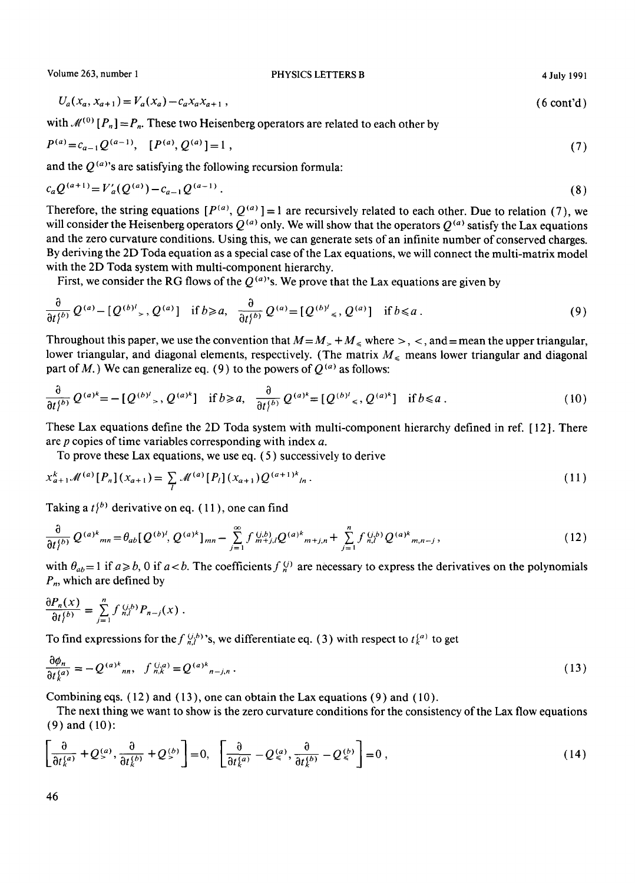$$
U_a(x_a, x_{a+1}) = V_a(x_a) - c_a x_a x_{a+1} \,, \tag{6\text{ cont'd}}
$$

with  $\mathcal{M}^{(0)}[P_n] = P_n$ . These two Heisenberg operators are related to each other by

$$
P^{(a)} = c_{a-1} Q^{(a-1)}, \quad [P^{(a)}, Q^{(a)}] = 1 \tag{7}
$$

and the  $Q^{(a)}$ 's are satisfying the following recursion formula:

$$
c_a Q^{(a+1)} = V'_a (Q^{(a)}) - c_{a-1} Q^{(a-1)} \,. \tag{8}
$$

Therefore, the string equations  $[P^{(a)}, Q^{(a)}] = 1$  are recursively related to each other. Due to relation (7), we will consider the Heisenberg operators  $Q^{(a)}$  only. We will show that the operators  $Q^{(a)}$  satisfy the Lax equations and the zero curvature conditions. Using this, we can generate sets of an infinite number of conserved charges. By deriving the 2D Toda equation as a special case of the Lax equations, we will connect the multi-matrix model with the 2D Toda system with multi-component hierarchy.

First, we consider the RG flows of the  $Q^{(a)}$ 's. We prove that the Lax equations are given by

$$
\frac{\partial}{\partial t_i^{(b)}} Q^{(a)} - [Q^{(b)}', Q^{(a)}] \quad \text{if } b \geq a, \quad \frac{\partial}{\partial t_i^{(b)}} Q^{(a)} = [Q^{(b)}', Q^{(a)}] \quad \text{if } b \leq a \,.
$$

Throughout this paper, we use the convention that  $M=M_{\leq}+M_{\leq}$  where  $>$ , <, and = mean the upper triangular, lower triangular, and diagonal elements, respectively. (The matrix  $M_{\leq$  means lower triangular and diagonal part of M.) We can generalize eq. (9) to the powers of  $Q^{(a)}$  as follows:

$$
\frac{\partial}{\partial t^{(b)}} Q^{(a)^k} = -[Q^{(b)^j}, Q^{(a)^k}] \quad \text{if } b \ge a, \quad \frac{\partial}{\partial t^{(b)}} Q^{(a)^k} = [Q^{(b)^j}, Q^{(a)^k}] \quad \text{if } b \le a \,.
$$

These Lax equations define the 2D Toda system with multi-component hierarchy defined in ref. [ 12 ]. There are p copies of time variables corresponding with index a.

To prove these Lax equations, we use eq. ( 5 ) successively to derive

$$
x_{a+1}^k \mathcal{M}^{(a)}[P_n](x_{a+1}) = \sum_l \mathcal{M}^{(a)}[P_l](x_{a+1}) Q^{(a+1)k}{}_{ln} \,. \tag{11}
$$

Taking a  $t^{(b)}$  derivative on eq. (11), one can find

$$
\frac{\partial}{\partial t_i^{(b)}} Q^{(a)k}{}_{mn} = \theta_{ab} [Q^{(b)l}, Q^{(a)k}]_{mn} - \sum_{j=1}^{\infty} f^{(j,b)}_{m+j,l} Q^{(a)k}{}_{m+j,n} + \sum_{j=1}^{n} f^{(j,b)}_{n,l} Q^{(a)k}{}_{m,n-j},
$$
\n(12)

with  $\theta_{ab}=1$  if  $a \ge b$ , 0 if  $a < b$ . The coefficients  $f_n^{(j)}$  are necessary to express the derivatives on the polynomials *P.,* which are defined by

$$
\frac{\partial P_n(x)}{\partial t^{(b)}} = \sum_{j=1}^n f_{n,j}^{(j,b)} P_{n-j}(x) .
$$

To find expressions for the  $f^{(i,b)}_{n,l}$ , we differentiate eq. (3) with respect to  $t^{(a)}_k$  to get

$$
\frac{\partial \phi_n}{\partial t_k^{(a)}} = -Q^{(a)^k}{}_{nn}, \quad f^{(j,a)}_{n,k} = Q^{(a)^k}{}_{n-j,n} \,. \tag{13}
$$

Combining eqs.  $(12)$  and  $(13)$ , one can obtain the Lax equations  $(9)$  and  $(10)$ .

The next thing we want to show is the zero curvature conditions for the consistency of the Lax flow equations (9) and (10):

$$
\left[\frac{\partial}{\partial t_k^{(a)}} + Q^{(a)}_{>} , \frac{\partial}{\partial t_k^{(b)}} + Q^{(b)}_{>} \right] = 0, \quad \left[\frac{\partial}{\partial t_k^{(a)}} - Q^{(a)}_{\leq} , \frac{\partial}{\partial t_k^{(b)}} - Q^{(b)}_{\leq} \right] = 0 \tag{14}
$$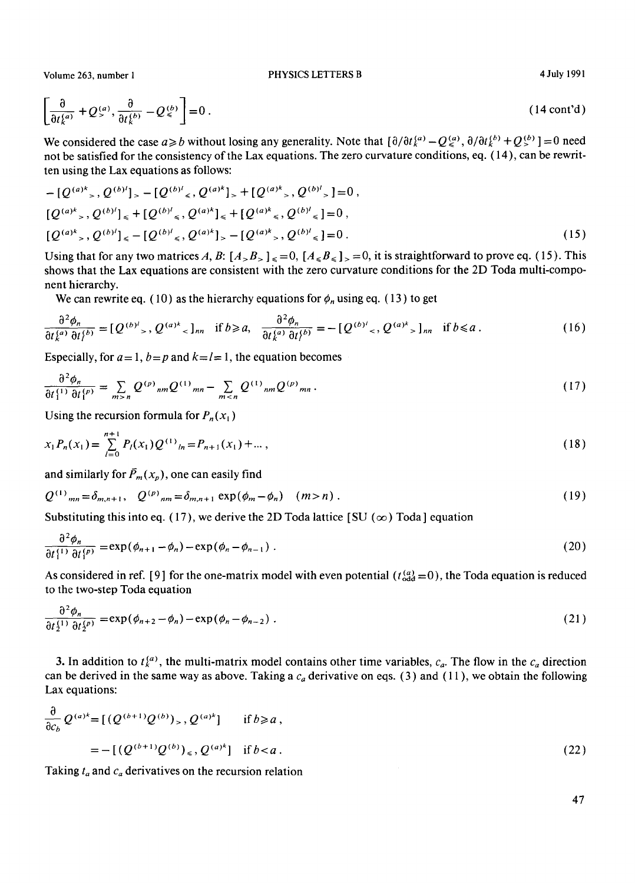$$
\left[\frac{\partial}{\partial t_k^{(a)}} + Q_{>}^{(a)}, \frac{\partial}{\partial t_k^{(b)}} - Q_{\leqslant}^{(b)}\right] = 0.
$$
\n(14 cont'd)

We considered the case  $a \ge b$  without losing any generality. Note that  $\left[\frac{\partial}{\partial t_k^{(a)}} - Q_{\leq 0}^{(a)}, \frac{\partial}{\partial t_k^{(b)}} + Q_{\geq 0}^{(b)}\right] = 0$  need not be satisfied for the consistency of the Lax equations. The zero curvature conditions, eq. (14), can be rewritten using the Lax equations as follows:

$$
- [Q^{(a)^k} \rangle, Q^{(b)^l}] \rangle - [Q^{(b)^l} \langle, Q^{(a)^k}] \rangle + [Q^{(a)^k} \rangle, Q^{(b)^l} \rangle] = 0,
$$
  
\n
$$
[Q^{(a)^k} \rangle, Q^{(b)^l}] \rangle + [Q^{(b)^l} \langle, Q^{(a)^k}] \rangle + [Q^{(a)^k} \langle, Q^{(b)^l} \rangle] = 0,
$$
  
\n
$$
[Q^{(a)^k} \rangle, Q^{(b)^l}] \rangle - [Q^{(b)^l} \langle, Q^{(a)^k}] \rangle - [Q^{(a)^k} \rangle, Q^{(b)^l} \rangle] = 0.
$$
 (15)

Using that for any two matrices A, B:  $[A_{>B_{>}}]_{\leq 0}$ ,  $[A_{\leq B_{\leq}}]_{\geq 0}$ , it is straightforward to prove eq. (15). This shows that the Lax equations are consistent with the zero curvature conditions for the 2D Toda multi-component hierarchy.

We can rewrite eq. (10) as the hierarchy equations for  $\phi_n$  using eq. (13) to get

$$
\frac{\partial^2 \phi_n}{\partial t^{(a)}_k \partial t^{(b)}} = [Q^{(b)^l}, Q^{(a)^k} \cdot ]_{nn} \quad \text{if } b \ge a, \quad \frac{\partial^2 \phi_n}{\partial t^{(a)}_k \partial t^{(b)}} = -[Q^{(b)^l} \cdot , Q^{(a)^k} \cdot ]_{nn} \quad \text{if } b \le a \,.
$$

Especially, for  $a=1$ ,  $b=p$  and  $k=l=1$ , the equation becomes

$$
\frac{\partial^2 \phi_n}{\partial t_1^{(1)} \partial t_1^{(p)}} = \sum_{m>n} Q^{(p)}_{nm} Q^{(1)}_{mn} - \sum_{m (17)
$$

Using the recursion formula for  $P_n(x_1)$ 

$$
x_1 P_n(x_1) = \sum_{l=0}^{n+1} P_l(x_1) Q^{(1)}{}_{ln} = P_{n+1}(x_1) + \dots, \tag{18}
$$

and similarly for  $\bar{P}_m(x_p)$ , one can easily find

$$
Q^{(1)}_{mn} = \delta_{m,n+1}, \quad Q^{(p)}_{nm} = \delta_{m,n+1} \exp(\phi_m - \phi_n) \quad (m > n) \tag{19}
$$

Substituting this into eq. (17), we derive the 2D Toda lattice [SU ( $\infty$ ) Toda ] equation

$$
\frac{\partial^2 \phi_n}{\partial t_1^{(1)} \partial t_1^{(p)}} = \exp(\phi_{n+1} - \phi_n) - \exp(\phi_n - \phi_{n-1}). \tag{20}
$$

As considered in ref. [9] for the one-matrix model with even potential ( $t_{odd}^{(a)} = 0$ ), the Toda equation is reduced to the two-step Toda equation

$$
\frac{\partial^2 \phi_n}{\partial t_2^{(1)} \partial t_2^{(p)}} = \exp(\phi_{n+2} - \phi_n) - \exp(\phi_n - \phi_{n-2}). \tag{21}
$$

3. In addition to  $t_k^{(a)}$ , the multi-matrix model contains other time variables,  $c_a$ . The flow in the  $c_a$  direction can be derived in the same way as above. Taking a  $c_a$  derivative on eqs. (3) and (11), we obtain the following Lax equations:

$$
\frac{\partial}{\partial c_b} Q^{(a)^k} = [ (Q^{(b+1)} Q^{(b)})_>, Q^{(a)^k} ] \quad \text{if } b \ge a ,
$$
  
=  $- [ (Q^{(b+1)} Q^{(b)})_*, Q^{(a)^k} ] \quad \text{if } b < a .$  (22)

Taking  $t_a$  and  $c_a$  derivatives on the recursion relation

47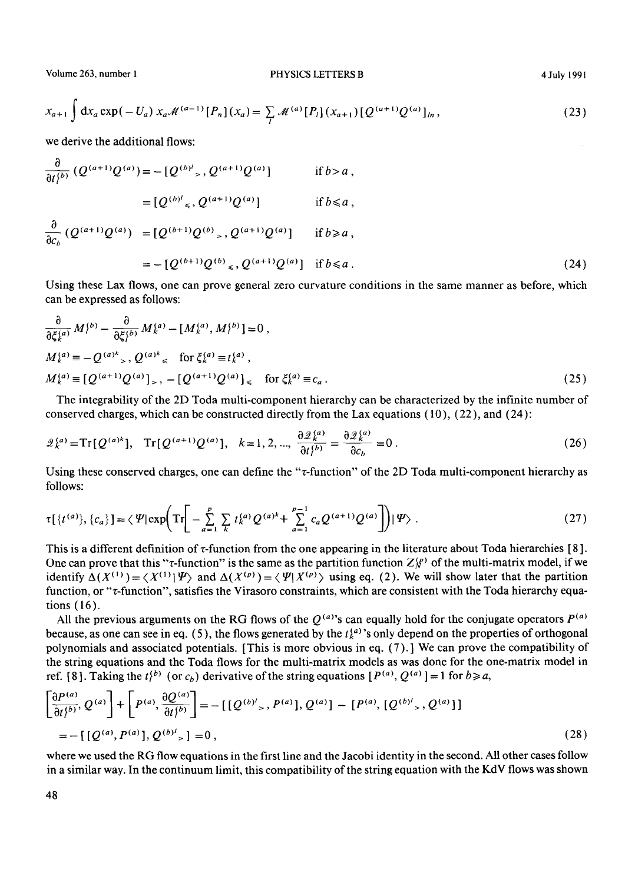$$
x_{a+1} \int dx_a \exp(-U_a) x_a \mathcal{M}^{(a-1)}[P_n](x_a) = \sum_l \mathcal{M}^{(a)}[P_l](x_{a+1})[Q^{(a+1)}Q^{(a)}]_{ln},
$$
\n(23)

we derive the additional flows:

$$
\frac{\partial}{\partial t_i^{(b)}} (Q^{(a+1)}Q^{(a)}) = -[Q^{(b)^j} \square, Q^{(a+1)}Q^{(a)}] \qquad \text{if } b > a,
$$
  
\n
$$
= [Q^{(b)^j} \triangleleft, Q^{(a+1)}Q^{(a)}] \qquad \text{if } b \le a,
$$
  
\n
$$
\frac{\partial}{\partial c_b} (Q^{(a+1)}Q^{(a)}) = [Q^{(b+1)}Q^{(b)} \square, Q^{(a+1)}Q^{(a)}] \qquad \text{if } b \ge a,
$$
  
\n
$$
= -[Q^{(b+1)}Q^{(b)} \triangleleft, Q^{(a+1)}Q^{(a)}] \qquad \text{if } b \le a.
$$
 (24)

Using these Lax flows, one can prove general zero curvature conditions in the same manner as before, which can be expressed as follows:

$$
\frac{\partial}{\partial \xi_k^{(a)}} M_i^{(b)} - \frac{\partial}{\partial \xi_l^{(b)}} M_k^{(a)} - [M_k^{(a)}, M_l^{(b)}] = 0,
$$
\n
$$
M_k^{(a)} \equiv -Q^{(a)^k} \,, Q^{(a)^k} \ll \text{for } \xi_k^{(a)} \equiv t_k^{(a)},
$$
\n
$$
M_k^{(a)} \equiv [Q^{(a+1)}Q^{(a)}] \,, -[Q^{(a+1)}Q^{(a)}] \ll \text{for } \xi_k^{(a)} \equiv c_a.
$$
\n(25)

The integrability of the 2D Toda multi-component hierarchy can be characterized by the infinite number of conserved charges, which can be constructed directly from the Lax equations  $(10)$ ,  $(22)$ , and  $(24)$ :

$$
\mathcal{Q}_k^{(a)} = \text{Tr}[Q^{(a)^k}], \quad \text{Tr}[Q^{(a+1)}Q^{(a)}], \quad k = 1, 2, ..., \quad \frac{\partial \mathcal{Q}_k^{(a)}}{\partial t_j^{(b)}} = \frac{\partial \mathcal{Q}_k^{(a)}}{\partial c_b} = 0 \tag{26}
$$

Using these conserved charges, one can define the "r-function" of the 2D Toda multi-component hierarchy as follows:

$$
\tau[\{t^{(a)}\},\{c_a\}] = \langle \varPsi | \exp\biggl( \operatorname{Tr} \biggl[ -\sum_{a=1}^p \sum_k t_k^{(a)} Q^{(a)k} + \sum_{a=1}^{p-1} c_a Q^{(a+1)} Q^{(a)} \biggr] \biggr) |\varPsi\rangle . \tag{27}
$$

This is a different definition of  $\tau$ -function from the one appearing in the literature about Toda hierarchies [8]. One can prove that this "*r*-function" is the same as the partition function  $Z_{N}^{(p)}$  of the multi-matrix model, if we identify  $\Delta(X^{(1)}) = \langle X^{(1)} | \Psi \rangle$  and  $\Delta(X^{(p)}) = \langle \Psi | X^{(p)} \rangle$  using eq. (2). We will show later that the partition function, or "r-function", satisfies the Virasoro constraints, which are consistent with the Toda hierarchy equations (16).

All the previous arguments on the RG flows of the  $Q^{(a)}$ 's can equally hold for the conjugate operators  $P^{(a)}$ because, as one can see in eq. (5), the flows generated by the  $t_{k}^{(a)}$ 's only depend on the properties of orthogonal polynomials and associated potentials. [This is more obvious in eq. (7). ] We can prove the compatibility of the string equations and the Toda flows for the multi-matrix models as was done for the one-matrix model in ref. [8]. Taking the  $t^{(b)}$  (or  $c_b$ ) derivative of the string equations  $[P^{(a)}, Q^{(a)}] = 1$  for  $b \ge a$ ,

$$
\left[\frac{\partial P^{(a)}}{\partial t_i^{(b)}}, Q^{(a)}\right] + \left[P^{(a)}, \frac{\partial Q^{(a)}}{\partial t_i^{(b)}}\right] = -\left[\left[Q^{(b)'}\right], P^{(a)}\right], Q^{(a)}\right] - \left[P^{(a)}, \left[Q^{(b)'}\right], Q^{(a)}\right]
$$
\n
$$
= -\left[\left[Q^{(a)}, P^{(a)}\right], Q^{(b)'}\right] = 0,
$$
\n(28)

where we used the RG flow equations in the first line and the Jacobi identity in the second. All other cases follow in a similar way. In the continuum limit, this compatibility of the string equation with the KdV flows was shown

48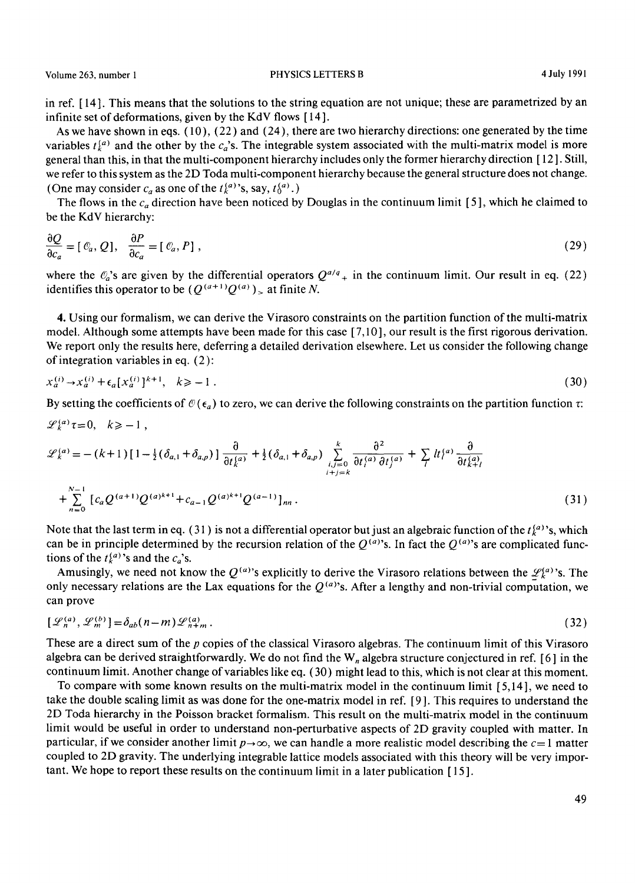As we have shown in eqs. (10), (22) and (24), there are two hierarchy directions: one generated by the time variables  $t_k^{(a)}$  and the other by the  $c_a$ 's. The integrable system associated with the multi-matrix model is more general than this, in that the multi-component hierarchy includes only the former hierarchy direction [ 12 ]. Still, we refer to this system as the 2D Toda multi-component hierarchy because the general structure does not change. (One may consider  $c_a$  as one of the  $t_k^{(a)}$ 's, say,  $t_0^{(a)}$ .)

The flows in the *Ca* direction have been noticed by Douglas in the continuum limit [ 5 ], which he claimed to be the KdV hierarchy:

$$
\frac{\partial Q}{\partial c_a} = [\mathcal{C}_a, Q], \quad \frac{\partial P}{\partial c_a} = [\mathcal{C}_a, P], \tag{29}
$$

where the  $\mathcal{O}_a$ 's are given by the differential operators  $Q^{a/q}$  in the continuum limit. Our result in eq. (22) identifies this operator to be  $(Q^{(a+1)}Q^{(a)})_>$  at finite N.

4. Using our formalism, we can derive the Virasoro constraints on the partition function of the multi-matrix model. Although some attempts have been made for this case [ 7,10 ], our result is the first rigorous derivation. We report only the results here, deferring a detailed derivation elsewhere. Let us consider the following change of integration variables in eq. (2):

$$
x_a^{(i)} \to x_a^{(i)} + \epsilon_a [x_a^{(i)}]^{k+1}, \quad k \ge -1 \tag{30}
$$

By setting the coefficients of  $\mathcal{O}(\epsilon_a)$  to zero, we can derive the following constraints on the partition function  $\tau$ :

$$
\mathcal{L}_{k}^{(a)} \tau = 0, \quad k \ge -1 ,
$$
\n
$$
\mathcal{L}_{k}^{(a)} = -(k+1) \left[ 1 - \frac{1}{2} (\delta_{a,1} + \delta_{a,p}) \right] \frac{\partial}{\partial t_{k}^{(a)}} + \frac{1}{2} (\delta_{a,1} + \delta_{a,p}) \sum_{\substack{i,j=0 \ i+j=k}}^{k} \frac{\partial^{2}}{\partial t_{i}^{(a)} \partial t_{j}^{(a)}} + \sum_{j} l t_{i}^{(a)} \frac{\partial}{\partial t_{k}^{(a)j}} + \sum_{j} l t_{j}^{(a)} \frac{\partial}{\partial t_{j}^{(a)j}} + \sum_{j} l t_{j}^{(a)} \frac{\partial}{\partial t_{j}^{(a)j}} + \sum_{j} l t_{j}^{(a)} \frac{\partial}{\partial t_{j}^{(a)j}} + \sum_{j} l t_{j}^{(a)} \frac{\partial}{\partial t_{j}^{(a)j}} + \sum_{j} l t_{j}^{(a)} \frac{\partial}{\partial t_{j}^{(a)j}} + \sum_{j} l t_{j}^{(a)} \frac{\partial}{\partial t_{j}^{(a)j}} + \sum_{j} l t_{j}^{(a)} \frac{\partial}{\partial t_{j}^{(a)j}} + \sum_{j} l t_{j}^{(a)} \frac{\partial}{\partial t_{j}^{(a)j}} + \sum_{j} l t_{j}^{(a)} \frac{\partial}{\partial t_{j}^{(a)j}} + \sum_{j} l t_{j}^{(a)} \frac{\partial}{\partial t_{j}^{(a)j}} + \sum_{j} l t_{j}^{(a)} \frac{\partial}{\partial t_{j}^{(a)j}} + \sum_{j} l t_{j}^{(a)} \frac{\partial}{\partial t_{j}^{(a)j}} + \sum_{j} l t_{j}^{(a)} \frac{\partial}{\partial t_{j}^{(a)j}} + \sum_{j} l t_{j}^{(a)} \frac{\partial}{\partial t_{j}^{(a)j}} + \sum_{j} l t_{j}^{(a)} \frac{\partial}{\partial t_{j}^{(a)j}} + \sum_{j} l t_{j}^{(a)} \frac{\partial}{\partial t_{j}^{(a)j}} + \sum_{j} l t_{j}^{(a)} \frac{\partial}{\partial t_{j}^{(a)j}} + \sum_{j} l t_{j}^{(a)} \frac{\partial
$$

Note that the last term in eq. (31) is not a differential operator but just an algebraic function of the  $t^{(a)}_k$ 's, which can be in principle determined by the recursion relation of the  $Q^{(a)}$ 's. In fact the  $Q^{(a)}$ 's are complicated functions of the  $t_k^{(a)}$ 's and the  $c_a$ 's.

Amusingly, we need not know the Q<sup>(a)</sup>'s explicitly to derive the Virasoro relations between the  $\mathscr{L}_k^{(a)}$ 's. The only necessary relations are the Lax equations for the  $Q^{(a)}$ 's. After a lengthy and non-trivial computation, we can prove

$$
\left[\mathcal{L}_n^{(a)}, \mathcal{L}_m^{(b)}\right] = \delta_{ab}(n-m)\mathcal{L}_{n+m}^{(a)}\,. \tag{32}
$$

These are a direct sum of the  $p$  copies of the classical Virasoro algebras. The continuum limit of this Virasoro algebra can be derived straightforwardly. We do not find the  $W_n$  algebra structure conjectured in ref. [6] in the continuum limit. Another change of variables like eq. (30) might lead to this, which is not clear at this moment.

To compare with some known results on the multi-matrix model in the continuum limit [ 5,14 ], we need to take the double scaling limit as was done for the one-matrix model in ref. [9 ]. This requires to understand the 2D Toda hierarchy in the Poisson bracket formalism. This result on the multi-matrix model in the continuum limit would be useful in order to understand non-perturbative aspects of 2D gravity coupled with matter. In particular, if we consider another limit  $p\rightarrow\infty$ , we can handle a more realistic model describing the  $c=1$  matter coupled to 2D gravity. The underlying integrable lattice models associated with this theory will be very important. We hope to report these results on the continuum limit in a later publication [ 15 ].